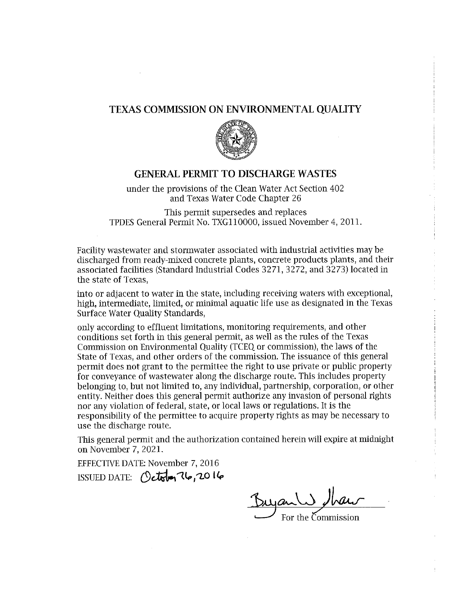#### **TEXAS COMMISSION ON ENVIRONMENTAL QUALITY**



#### **GENERAL PERMIT TO DISCHARGE WASTES**

under the provisions of the Clean Water Act Section 402 and Texas Water Code Chapter 26

This permit supersedes and replaces TPDES General Permit No. TXG110000, issued November 4, 2011.

Facility wastewater and stormwater associated with industrial activities may be discharged from ready-mixed concrete plants, concrete products plants, and their associated facilities (Standard Industrial Codes 3271, 3272, and 3273) located in the state of Texas.

into or adjacent to water in the state, including receiving waters with exceptional, high, intermediate, limited, or minimal aquatic life use as designated in the Texas Surface Water Ouality Standards,

only according to effluent limitations, monitoring requirements, and other conditions set forth in this general permit, as well as the rules of the Texas Commission on Environmental Quality (TCEO or commission), the laws of the State of Texas, and other orders of the commission. The issuance of this general permit does not grant to the permittee the right to use private or public property for conveyance of wastewater along the discharge route. This includes property belonging to, but not limited to, any individual, partnership, corporation, or other entity. Neither does this general permit authorize any invasion of personal rights nor any violation of federal, state, or local laws or regulations. It is the responsibility of the permittee to acquire property rights as may be necessary to use the discharge route.

This general permit and the authorization contained herein will expire at midnight on November 7, 2021.

**EFFECTIVE DATE: November 7, 2016** ISSUED DATE: (Detailer 76,2016

For the Commission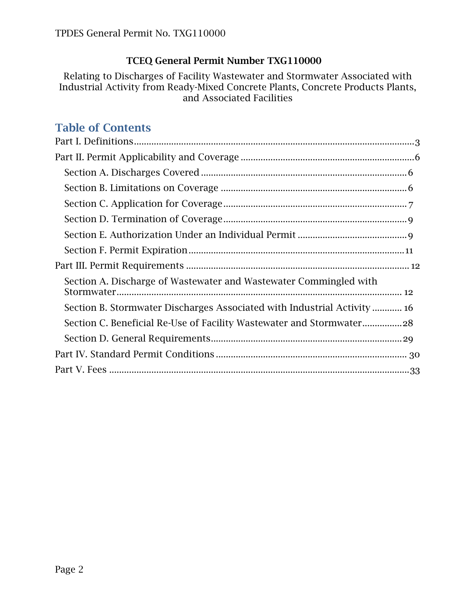### **TCEQ General Permit Number TXG110000**

Relating to Discharges of Facility Wastewater and Stormwater Associated with Industrial Activity from Ready-Mixed Concrete Plants, Concrete Products Plants, and Associated Facilities

# **Table of Contents**

| Section A. Discharge of Wastewater and Wastewater Commingled with        |
|--------------------------------------------------------------------------|
| Section B. Stormwater Discharges Associated with Industrial Activity  16 |
| Section C. Beneficial Re-Use of Facility Wastewater and Stormwater28     |
|                                                                          |
|                                                                          |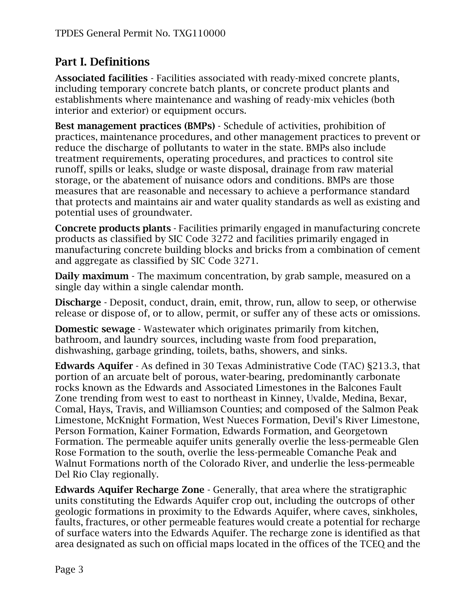# <span id="page-2-0"></span>**Part I. Definitions**

**Associated facilities** - Facilities associated with ready-mixed concrete plants, including temporary concrete batch plants, or concrete product plants and establishments where maintenance and washing of ready-mix vehicles (both interior and exterior) or equipment occurs.

**Best management practices (BMPs)** - Schedule of activities, prohibition of practices, maintenance procedures, and other management practices to prevent or reduce the discharge of pollutants to water in the state. BMPs also include treatment requirements, operating procedures, and practices to control site runoff, spills or leaks, sludge or waste disposal, drainage from raw material storage, or the abatement of nuisance odors and conditions. BMPs are those measures that are reasonable and necessary to achieve a performance standard that protects and maintains air and water quality standards as well as existing and potential uses of groundwater.

**Concrete products plants** - Facilities primarily engaged in manufacturing concrete products as classified by SIC Code 3272 and facilities primarily engaged in manufacturing concrete building blocks and bricks from a combination of cement and aggregate as classified by SIC Code 3271.

**Daily maximum** - The maximum concentration, by grab sample, measured on a single day within a single calendar month.

**Discharge** - Deposit, conduct, drain, emit, throw, run, allow to seep, or otherwise release or dispose of, or to allow, permit, or suffer any of these acts or omissions.

**Domestic sewage** - Wastewater which originates primarily from kitchen, bathroom, and laundry sources, including waste from food preparation, dishwashing, garbage grinding, toilets, baths, showers, and sinks.

**Edwards Aquifer** - As defined in 30 Texas Administrative Code (TAC) §213.3, that portion of an arcuate belt of porous, water-bearing, predominantly carbonate rocks known as the Edwards and Associated Limestones in the Balcones Fault Zone trending from west to east to northeast in Kinney, Uvalde, Medina, Bexar, Comal, Hays, Travis, and Williamson Counties; and composed of the Salmon Peak Limestone, McKnight Formation, West Nueces Formation, Devil's River Limestone, Person Formation, Kainer Formation, Edwards Formation, and Georgetown Formation. The permeable aquifer units generally overlie the less-permeable Glen Rose Formation to the south, overlie the less-permeable Comanche Peak and Walnut Formations north of the Colorado River, and underlie the less-permeable Del Rio Clay regionally.

**Edwards Aquifer Recharge Zone** - Generally, that area where the stratigraphic units constituting the Edwards Aquifer crop out, including the outcrops of other geologic formations in proximity to the Edwards Aquifer, where caves, sinkholes, faults, fractures, or other permeable features would create a potential for recharge of surface waters into the Edwards Aquifer. The recharge zone is identified as that area designated as such on official maps located in the offices of the TCEQ and the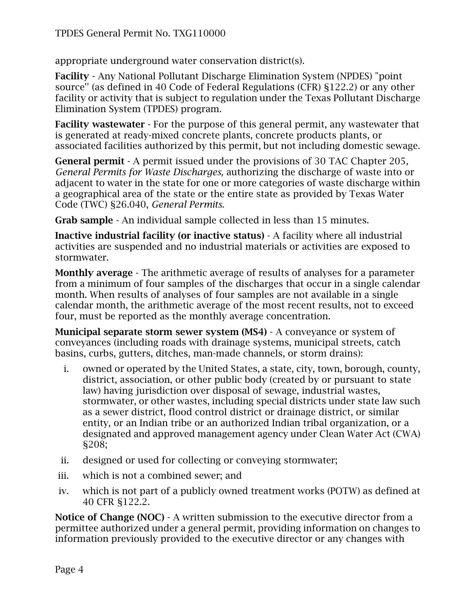appropriate underground water conservation district(s).

**Facility** - Any National Pollutant Discharge Elimination System (NPDES) "point source'' (as defined in 40 Code of Federal Regulations (CFR) §122.2) or any other facility or activity that is subject to regulation under the Texas Pollutant Discharge Elimination System (TPDES) program.

**Facility wastewater** - For the purpose of this general permit, any wastewater that is generated at ready-mixed concrete plants, concrete products plants, or associated facilities authorized by this permit, but not including domestic sewage.

**General permit** - A permit issued under the provisions of 30 TAC Chapter 205*, General Permits for Waste Discharges,* authorizing the discharge of waste into or adjacent to water in the state for one or more categories of waste discharge within a geographical area of the state or the entire state as provided by Texas Water Code (TWC) §26.040, *General Permits*.

**Grab sample** - An individual sample collected in less than 15 minutes.

**Inactive industrial facility (or inactive status)** - A facility where all industrial activities are suspended and no industrial materials or activities are exposed to stormwater.

**Monthly average** - The arithmetic average of results of analyses for a parameter from a minimum of four samples of the discharges that occur in a single calendar month. When results of analyses of four samples are not available in a single calendar month, the arithmetic average of the most recent results, not to exceed four, must be reported as the monthly average concentration.

**Municipal separate storm sewer system (MS4)** - A conveyance or system of conveyances (including roads with drainage systems, municipal streets, catch basins, curbs, gutters, ditches, man-made channels, or storm drains):

- i. owned or operated by the United States, a state, city, town, borough, county, district, association, or other public body (created by or pursuant to state law) having jurisdiction over disposal of sewage, industrial wastes, stormwater, or other wastes, including special districts under state law such as a sewer district, flood control district or drainage district, or similar entity, or an Indian tribe or an authorized Indian tribal organization, or a designated and approved management agency under Clean Water Act (CWA) §208;
- ii. designed or used for collecting or conveying stormwater;
- iii. which is not a combined sewer; and
- iv. which is not part of a publicly owned treatment works (POTW) as defined at 40 CFR §122.2.

**Notice of Change (NOC)** - A written submission to the executive director from a permittee authorized under a general permit, providing information on changes to information previously provided to the executive director or any changes with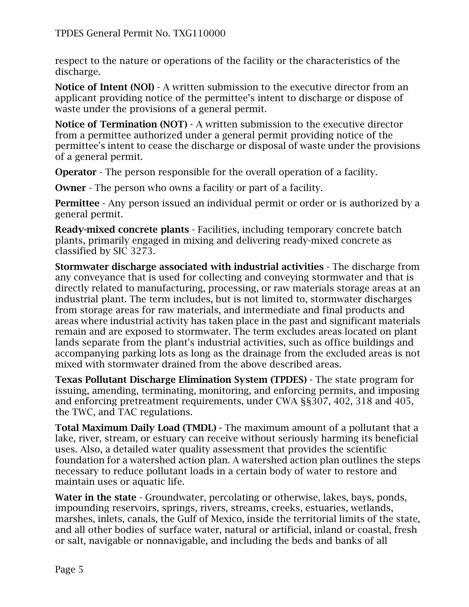respect to the nature or operations of the facility or the characteristics of the discharge.

**Notice of Intent (NOI)** - A written submission to the executive director from an applicant providing notice of the permittee's intent to discharge or dispose of waste under the provisions of a general permit.

**Notice of Termination (NOT)** - A written submission to the executive director from a permittee authorized under a general permit providing notice of the permittee's intent to cease the discharge or disposal of waste under the provisions of a general permit.

**Operator** - The person responsible for the overall operation of a facility.

**Owner** - The person who owns a facility or part of a facility.

**Permittee** - Any person issued an individual permit or order or is authorized by a general permit.

**Ready-mixed concrete plants** - Facilities, including temporary concrete batch plants, primarily engaged in mixing and delivering ready-mixed concrete as classified by SIC 3273.

**Stormwater discharge associated with industrial activities** - The discharge from any conveyance that is used for collecting and conveying stormwater and that is directly related to manufacturing, processing, or raw materials storage areas at an industrial plant. The term includes, but is not limited to, stormwater discharges from storage areas for raw materials, and intermediate and final products and areas where industrial activity has taken place in the past and significant materials remain and are exposed to stormwater. The term excludes areas located on plant lands separate from the plant's industrial activities, such as office buildings and accompanying parking lots as long as the drainage from the excluded areas is not mixed with stormwater drained from the above described areas.

**Texas Pollutant Discharge Elimination System (TPDES)** - The state program for issuing, amending, terminating, monitoring, and enforcing permits, and imposing and enforcing pretreatment requirements, under CWA §§307, 402, 318 and 405, the TWC, and TAC regulations.

**Total Maximum Daily Load (TMDL) -** The maximum amount of a pollutant that a lake, river, stream, or estuary can receive without seriously harming its beneficial uses. Also, a detailed water quality assessment that provides the scientific foundation for a watershed action plan. A watershed action plan outlines the steps necessary to reduce pollutant loads in a certain body of water to restore and maintain uses or aquatic life.

**Water in the state** - Groundwater, percolating or otherwise, lakes, bays, ponds, impounding reservoirs, springs, rivers, streams, creeks, estuaries, wetlands, marshes, inlets, canals, the Gulf of Mexico, inside the territorial limits of the state, and all other bodies of surface water, natural or artificial, inland or coastal, fresh or salt, navigable or nonnavigable, and including the beds and banks of all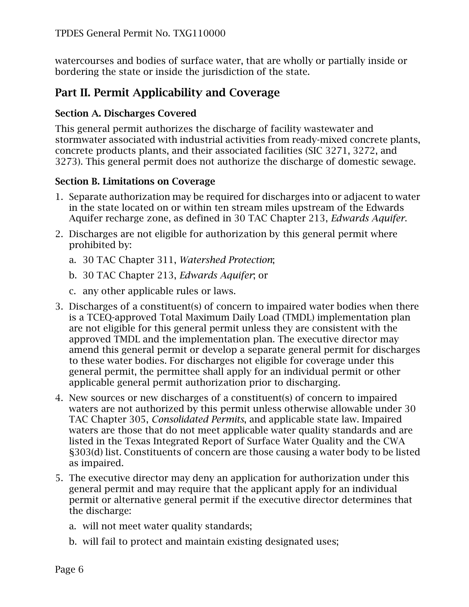watercourses and bodies of surface water, that are wholly or partially inside or bordering the state or inside the jurisdiction of the state.

## <span id="page-5-0"></span>**Part II. Permit Applicability and Coverage**

#### <span id="page-5-1"></span>**Section A. Discharges Covered**

This general permit authorizes the discharge of facility wastewater and stormwater associated with industrial activities from ready-mixed concrete plants, concrete products plants, and their associated facilities (SIC 3271, 3272, and 3273). This general permit does not authorize the discharge of domestic sewage.

#### <span id="page-5-2"></span>**Section B. Limitations on Coverage**

- 1. Separate authorization may be required for discharges into or adjacent to water in the state located on or within ten stream miles upstream of the Edwards Aquifer recharge zone, as defined in 30 TAC Chapter 213, *Edwards Aquifer*.
- 2. Discharges are not eligible for authorization by this general permit where prohibited by:
	- a. 30 TAC Chapter 311, *Watershed Protection*;
	- b. 30 TAC Chapter 213, *Edwards Aquifer*; or
	- c. any other applicable rules or laws.
- 3. Discharges of a constituent(s) of concern to impaired water bodies when there is a TCEQ-approved Total Maximum Daily Load (TMDL) implementation plan are not eligible for this general permit unless they are consistent with the approved TMDL and the implementation plan. The executive director may amend this general permit or develop a separate general permit for discharges to these water bodies. For discharges not eligible for coverage under this general permit, the permittee shall apply for an individual permit or other applicable general permit authorization prior to discharging.
- 4. New sources or new discharges of a constituent(s) of concern to impaired waters are not authorized by this permit unless otherwise allowable under 30 TAC Chapter 305, *Consolidated Permits*, and applicable state law. Impaired waters are those that do not meet applicable water quality standards and are listed in the Texas Integrated Report of Surface Water Quality and the CWA §303(d) list. Constituents of concern are those causing a water body to be listed as impaired.
- 5. The executive director may deny an application for authorization under this general permit and may require that the applicant apply for an individual permit or alternative general permit if the executive director determines that the discharge:
	- a. will not meet water quality standards;
	- b. will fail to protect and maintain existing designated uses;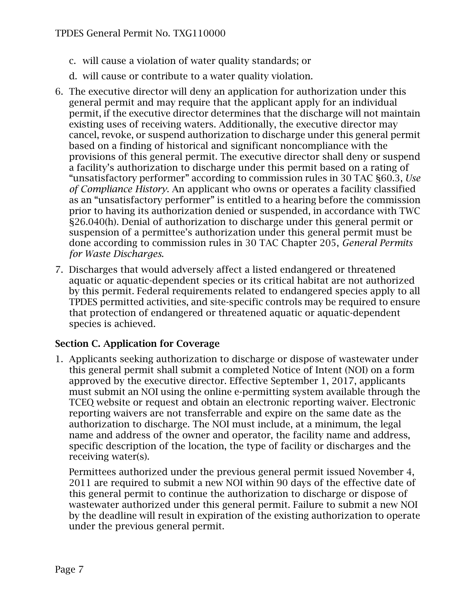- c. will cause a violation of water quality standards; or
- d. will cause or contribute to a water quality violation.
- 6. The executive director will deny an application for authorization under this general permit and may require that the applicant apply for an individual permit, if the executive director determines that the discharge will not maintain existing uses of receiving waters. Additionally, the executive director may cancel, revoke, or suspend authorization to discharge under this general permit based on a finding of historical and significant noncompliance with the provisions of this general permit. The executive director shall deny or suspend a facility's authorization to discharge under this permit based on a rating of "unsatisfactory performer" according to commission rules in 30 TAC §60.3, *Use of Compliance History*. An applicant who owns or operates a facility classified as an "unsatisfactory performer" is entitled to a hearing before the commission prior to having its authorization denied or suspended, in accordance with TWC §26.040(h). Denial of authorization to discharge under this general permit or suspension of a permittee's authorization under this general permit must be done according to commission rules in 30 TAC Chapter 205, *General Permits for Waste Discharges*.
- 7. Discharges that would adversely affect a listed endangered or threatened aquatic or aquatic-dependent species or its critical habitat are not authorized by this permit. Federal requirements related to endangered species apply to all TPDES permitted activities, and site-specific controls may be required to ensure that protection of endangered or threatened aquatic or aquatic-dependent species is achieved.

#### <span id="page-6-0"></span>**Section C. Application for Coverage**

1. Applicants seeking authorization to discharge or dispose of wastewater under this general permit shall submit a completed Notice of Intent (NOI) on a form approved by the executive director. Effective September 1, 2017, applicants must submit an NOI using the online e-permitting system available through the TCEQ website or request and obtain an electronic reporting waiver. Electronic reporting waivers are not transferrable and expire on the same date as the authorization to discharge. The NOI must include, at a minimum, the legal name and address of the owner and operator, the facility name and address, specific description of the location, the type of facility or discharges and the receiving water(s).

Permittees authorized under the previous general permit issued November 4, 2011 are required to submit a new NOI within 90 days of the effective date of this general permit to continue the authorization to discharge or dispose of wastewater authorized under this general permit. Failure to submit a new NOI by the deadline will result in expiration of the existing authorization to operate under the previous general permit.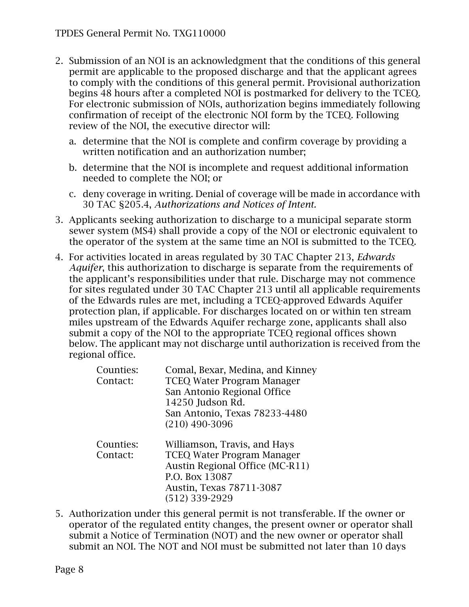- 2. Submission of an NOI is an acknowledgment that the conditions of this general permit are applicable to the proposed discharge and that the applicant agrees to comply with the conditions of this general permit. Provisional authorization begins 48 hours after a completed NOI is postmarked for delivery to the TCEQ. For electronic submission of NOIs, authorization begins immediately following confirmation of receipt of the electronic NOI form by the TCEQ. Following review of the NOI, the executive director will:
	- a. determine that the NOI is complete and confirm coverage by providing a written notification and an authorization number;
	- b. determine that the NOI is incomplete and request additional information needed to complete the NOI; or
	- c. deny coverage in writing. Denial of coverage will be made in accordance with 30 TAC §205.4, *Authorizations and Notices of Intent.*
- 3. Applicants seeking authorization to discharge to a municipal separate storm sewer system (MS4) shall provide a copy of the NOI or electronic equivalent to the operator of the system at the same time an NOI is submitted to the TCEQ.
- 4. For activities located in areas regulated by 30 TAC Chapter 213, *Edwards Aquifer*, this authorization to discharge is separate from the requirements of the applicant's responsibilities under that rule. Discharge may not commence for sites regulated under 30 TAC Chapter 213 until all applicable requirements of the Edwards rules are met, including a TCEQ-approved Edwards Aquifer protection plan, if applicable. For discharges located on or within ten stream miles upstream of the Edwards Aquifer recharge zone, applicants shall also submit a copy of the NOI to the appropriate TCEQ regional offices shown below. The applicant may not discharge until authorization is received from the regional office.

| Counties:<br>Contact: | Comal, Bexar, Medina, and Kinney<br><b>TCEQ Water Program Manager</b><br>San Antonio Regional Office<br>14250 Judson Rd.<br>San Antonio, Texas 78233-4480<br>$(210)$ 490-3096 |
|-----------------------|-------------------------------------------------------------------------------------------------------------------------------------------------------------------------------|
| Counties:<br>Contact: | Williamson, Travis, and Hays<br><b>TCEQ Water Program Manager</b><br>Austin Regional Office (MC-R11)<br>P.O. Box 13087<br>Austin, Texas 78711-3087<br>$(512)$ 339-2929        |

5. Authorization under this general permit is not transferable. If the owner or operator of the regulated entity changes, the present owner or operator shall submit a Notice of Termination (NOT) and the new owner or operator shall submit an NOI. The NOT and NOI must be submitted not later than 10 days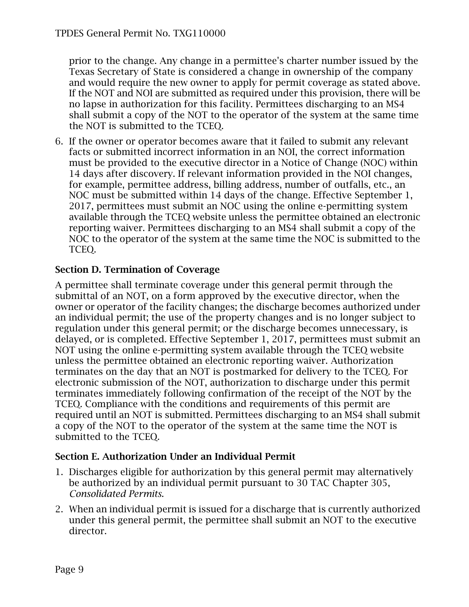prior to the change. Any change in a permittee's charter number issued by the Texas Secretary of State is considered a change in ownership of the company and would require the new owner to apply for permit coverage as stated above. If the NOT and NOI are submitted as required under this provision, there will be no lapse in authorization for this facility. Permittees discharging to an MS4 shall submit a copy of the NOT to the operator of the system at the same time the NOT is submitted to the TCEQ.

6. If the owner or operator becomes aware that it failed to submit any relevant facts or submitted incorrect information in an NOI, the correct information must be provided to the executive director in a Notice of Change (NOC) within 14 days after discovery. If relevant information provided in the NOI changes, for example, permittee address, billing address, number of outfalls, etc., an NOC must be submitted within 14 days of the change. Effective September 1, 2017, permittees must submit an NOC using the online e-permitting system available through the TCEQ website unless the permittee obtained an electronic reporting waiver. Permittees discharging to an MS4 shall submit a copy of the NOC to the operator of the system at the same time the NOC is submitted to the TCEQ.

### <span id="page-8-0"></span>**Section D. Termination of Coverage**

A permittee shall terminate coverage under this general permit through the submittal of an NOT, on a form approved by the executive director, when the owner or operator of the facility changes; the discharge becomes authorized under an individual permit; the use of the property changes and is no longer subject to regulation under this general permit; or the discharge becomes unnecessary, is delayed, or is completed. Effective September 1, 2017, permittees must submit an NOT using the online e-permitting system available through the TCEQ website unless the permittee obtained an electronic reporting waiver. Authorization terminates on the day that an NOT is postmarked for delivery to the TCEQ. For electronic submission of the NOT, authorization to discharge under this permit terminates immediately following confirmation of the receipt of the NOT by the TCEQ. Compliance with the conditions and requirements of this permit are required until an NOT is submitted. Permittees discharging to an MS4 shall submit a copy of the NOT to the operator of the system at the same time the NOT is submitted to the TCEQ.

#### <span id="page-8-1"></span>**Section E. Authorization Under an Individual Permit**

- 1. Discharges eligible for authorization by this general permit may alternatively be authorized by an individual permit pursuant to 30 TAC Chapter 305, *Consolidated Permits*.
- 2. When an individual permit is issued for a discharge that is currently authorized under this general permit, the permittee shall submit an NOT to the executive director.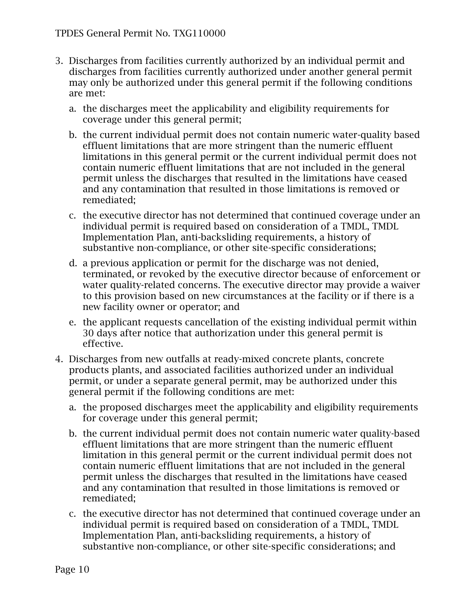- 3. Discharges from facilities currently authorized by an individual permit and discharges from facilities currently authorized under another general permit may only be authorized under this general permit if the following conditions are met:
	- a. the discharges meet the applicability and eligibility requirements for coverage under this general permit;
	- b. the current individual permit does not contain numeric water-quality based effluent limitations that are more stringent than the numeric effluent limitations in this general permit or the current individual permit does not contain numeric effluent limitations that are not included in the general permit unless the discharges that resulted in the limitations have ceased and any contamination that resulted in those limitations is removed or remediated;
	- c. the executive director has not determined that continued coverage under an individual permit is required based on consideration of a TMDL, TMDL Implementation Plan, anti-backsliding requirements, a history of substantive non-compliance, or other site-specific considerations;
	- d. a previous application or permit for the discharge was not denied, terminated, or revoked by the executive director because of enforcement or water quality-related concerns. The executive director may provide a waiver to this provision based on new circumstances at the facility or if there is a new facility owner or operator; and
	- e. the applicant requests cancellation of the existing individual permit within 30 days after notice that authorization under this general permit is effective.
- 4. Discharges from new outfalls at ready-mixed concrete plants, concrete products plants, and associated facilities authorized under an individual permit, or under a separate general permit, may be authorized under this general permit if the following conditions are met:
	- a. the proposed discharges meet the applicability and eligibility requirements for coverage under this general permit;
	- b. the current individual permit does not contain numeric water quality-based effluent limitations that are more stringent than the numeric effluent limitation in this general permit or the current individual permit does not contain numeric effluent limitations that are not included in the general permit unless the discharges that resulted in the limitations have ceased and any contamination that resulted in those limitations is removed or remediated;
	- c. the executive director has not determined that continued coverage under an individual permit is required based on consideration of a TMDL, TMDL Implementation Plan, anti-backsliding requirements, a history of substantive non-compliance, or other site-specific considerations; and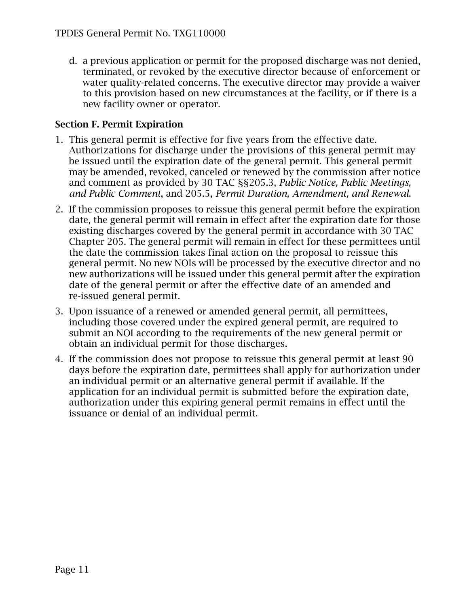d. a previous application or permit for the proposed discharge was not denied, terminated, or revoked by the executive director because of enforcement or water quality-related concerns. The executive director may provide a waiver to this provision based on new circumstances at the facility, or if there is a new facility owner or operator.

### <span id="page-10-0"></span>**Section F. Permit Expiration**

- 1. This general permit is effective for five years from the effective date. Authorizations for discharge under the provisions of this general permit may be issued until the expiration date of the general permit. This general permit may be amended, revoked, canceled or renewed by the commission after notice and comment as provided by 30 TAC §§205.3, *Public Notice, Public Meetings, and Public Comment*, and 205.5, *Permit Duration, Amendment, and Renewal*.
- 2. If the commission proposes to reissue this general permit before the expiration date, the general permit will remain in effect after the expiration date for those existing discharges covered by the general permit in accordance with 30 TAC Chapter 205. The general permit will remain in effect for these permittees until the date the commission takes final action on the proposal to reissue this general permit. No new NOIs will be processed by the executive director and no new authorizations will be issued under this general permit after the expiration date of the general permit or after the effective date of an amended and re-issued general permit.
- 3. Upon issuance of a renewed or amended general permit, all permittees, including those covered under the expired general permit, are required to submit an NOI according to the requirements of the new general permit or obtain an individual permit for those discharges.
- 4. If the commission does not propose to reissue this general permit at least 90 days before the expiration date, permittees shall apply for authorization under an individual permit or an alternative general permit if available. If the application for an individual permit is submitted before the expiration date, authorization under this expiring general permit remains in effect until the issuance or denial of an individual permit.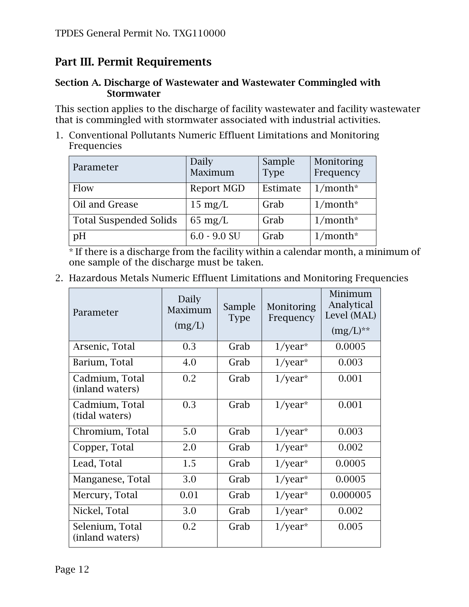## <span id="page-11-0"></span>**Part III. Permit Requirements**

#### <span id="page-11-1"></span>**Section A. Discharge of Wastewater and Wastewater Commingled with Stormwater**

This section applies to the discharge of facility wastewater and facility wastewater that is commingled with stormwater associated with industrial activities.

1. Conventional Pollutants Numeric Effluent Limitations and Monitoring Frequencies

| Parameter                     | Daily<br>Maximum  | Sample<br><b>Type</b> | Monitoring<br>Frequency |
|-------------------------------|-------------------|-----------------------|-------------------------|
| Flow                          | Report MGD        | Estimate              | $1/month*$              |
| Oil and Grease                | $15 \text{ mg/L}$ | Grab                  | $1/month*$              |
| <b>Total Suspended Solids</b> | $65 \text{ mg/L}$ | Grab                  | $1/month*$              |
| pH                            | $6.0 - 9.0$ SU    | Grab                  | $1/month*$              |

\* If there is a discharge from the facility within a calendar month, a minimum of one sample of the discharge must be taken.

2. Hazardous Metals Numeric Effluent Limitations and Monitoring Frequencies

| Parameter                          | Daily<br>Maximum<br>(mg/L) | Sample<br><b>Type</b> | Monitoring<br>Frequency | Minimum<br>Analytical<br>Level (MAL)<br>$(mg/L)$ ** |
|------------------------------------|----------------------------|-----------------------|-------------------------|-----------------------------------------------------|
| Arsenic, Total                     | 0.3                        | Grab                  | $1$ /year*              | 0.0005                                              |
| Barium, Total                      | 4.0                        | Grab                  | $1$ /year*              | 0.003                                               |
| Cadmium, Total<br>(inland waters)  | 0.2                        | Grab                  | $1$ /year*              | 0.001                                               |
| Cadmium, Total<br>(tidal waters)   | 0.3                        | Grab                  | $1$ /year*              | 0.001                                               |
| Chromium, Total                    | 5.0                        | Grab                  | $1$ /year*              | 0.003                                               |
| Copper, Total                      | 2.0                        | Grab                  | $1$ /year*              | 0.002                                               |
| Lead, Total                        | 1.5                        | Grab                  | $1$ /year*              | 0.0005                                              |
| Manganese, Total                   | 3.0                        | Grab                  | $1$ /year*              | 0.0005                                              |
| Mercury, Total                     | 0.01                       | Grab                  | $1$ /year*              | 0.000005                                            |
| Nickel, Total                      | 3.0                        | Grab                  | $1$ /year*              | 0.002                                               |
| Selenium, Total<br>(inland waters) | 0.2                        | Grab                  | $1$ /year*              | 0.005                                               |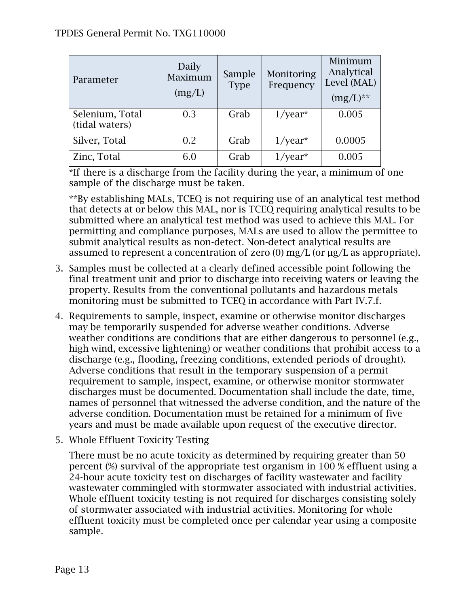| Parameter                         | Daily<br>Maximum<br>(mg/L) | Sample<br><b>Type</b> | Monitoring<br>Frequency | Minimum<br>Analytical<br>Level (MAL)<br>$(mg/L)$ ** |
|-----------------------------------|----------------------------|-----------------------|-------------------------|-----------------------------------------------------|
| Selenium, Total<br>(tidal waters) | 0.3                        | Grab                  | $1$ /year*              | 0.005                                               |
| Silver, Total                     | 0.2                        | Grab                  | $1$ /year*              | 0.0005                                              |
| Zinc, Total                       | 6.0                        | Grab                  | 'year*                  | 0.005                                               |

\*If there is a discharge from the facility during the year, a minimum of one sample of the discharge must be taken.

\*\*By establishing MALs, TCEQ is not requiring use of an analytical test method that detects at or below this MAL, nor is TCEQ requiring analytical results to be submitted where an analytical test method was used to achieve this MAL. For permitting and compliance purposes, MALs are used to allow the permittee to submit analytical results as non-detect. Non-detect analytical results are assumed to represent a concentration of zero  $(0)$  mg/L (or  $\mu$ g/L as appropriate).

- 3. Samples must be collected at a clearly defined accessible point following the final treatment unit and prior to discharge into receiving waters or leaving the property. Results from the conventional pollutants and hazardous metals monitoring must be submitted to TCEQ in accordance with Part IV.7.f.
- 4. Requirements to sample, inspect, examine or otherwise monitor discharges may be temporarily suspended for adverse weather conditions. Adverse weather conditions are conditions that are either dangerous to personnel (e.g., high wind, excessive lightening) or weather conditions that prohibit access to a discharge (e.g., flooding, freezing conditions, extended periods of drought). Adverse conditions that result in the temporary suspension of a permit requirement to sample, inspect, examine, or otherwise monitor stormwater discharges must be documented. Documentation shall include the date, time, names of personnel that witnessed the adverse condition, and the nature of the adverse condition. Documentation must be retained for a minimum of five years and must be made available upon request of the executive director.
- 5. Whole Effluent Toxicity Testing

There must be no acute toxicity as determined by requiring greater than 50 percent (%) survival of the appropriate test organism in 100 % effluent using a 24-hour acute toxicity test on discharges of facility wastewater and facility wastewater commingled with stormwater associated with industrial activities. Whole effluent toxicity testing is not required for discharges consisting solely of stormwater associated with industrial activities. Monitoring for whole effluent toxicity must be completed once per calendar year using a composite sample.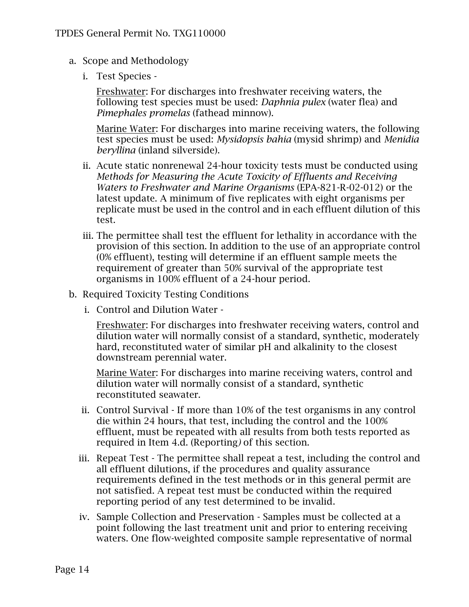- a. Scope and Methodology
	- i. Test Species -

Freshwater: For discharges into freshwater receiving waters, the following test species must be used: *Daphnia pulex* (water flea) and *Pimephales promelas* (fathead minnow).

Marine Water: For discharges into marine receiving waters, the following test species must be used: *Mysidopsis bahia* (mysid shrimp) and *Menidia beryllina* (inland silverside).

- ii. Acute static nonrenewal 24-hour toxicity tests must be conducted using *Methods for Measuring the Acute Toxicity of Effluents and Receiving Waters to Freshwater and Marine Organisms* (EPA-821-R-02-012) or the latest update. A minimum of five replicates with eight organisms per replicate must be used in the control and in each effluent dilution of this test.
- iii. The permittee shall test the effluent for lethality in accordance with the provision of this section. In addition to the use of an appropriate control (0% effluent), testing will determine if an effluent sample meets the requirement of greater than 50% survival of the appropriate test organisms in 100% effluent of a 24-hour period.
- b. Required Toxicity Testing Conditions
	- i. Control and Dilution Water -

Freshwater: For discharges into freshwater receiving waters, control and dilution water will normally consist of a standard, synthetic, moderately hard, reconstituted water of similar pH and alkalinity to the closest downstream perennial water.

Marine Water: For discharges into marine receiving waters, control and dilution water will normally consist of a standard, synthetic reconstituted seawater.

- ii. Control Survival If more than 10% of the test organisms in any control die within 24 hours, that test, including the control and the 100% effluent, must be repeated with all results from both tests reported as required in Item 4.d. (Reporting*)* of this section.
- iii. Repeat Test The permittee shall repeat a test, including the control and all effluent dilutions, if the procedures and quality assurance requirements defined in the test methods or in this general permit are not satisfied. A repeat test must be conducted within the required reporting period of any test determined to be invalid.
- iv. Sample Collection and Preservation Samples must be collected at a point following the last treatment unit and prior to entering receiving waters. One flow-weighted composite sample representative of normal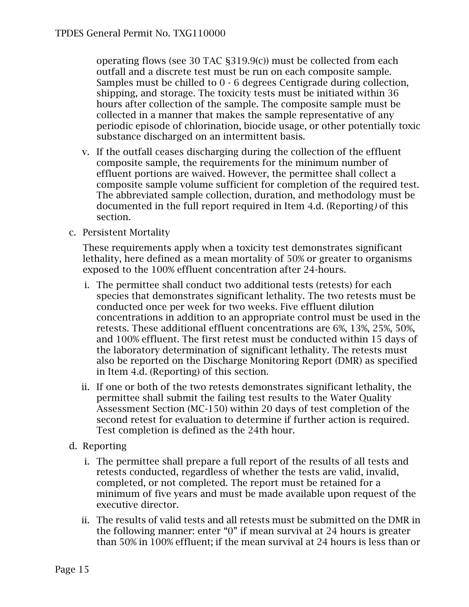operating flows (see 30 TAC §319.9(c)) must be collected from each outfall and a discrete test must be run on each composite sample. Samples must be chilled to 0 - 6 degrees Centigrade during collection, shipping, and storage. The toxicity tests must be initiated within 36 hours after collection of the sample. The composite sample must be collected in a manner that makes the sample representative of any periodic episode of chlorination, biocide usage, or other potentially toxic substance discharged on an intermittent basis.

- v. If the outfall ceases discharging during the collection of the effluent composite sample, the requirements for the minimum number of effluent portions are waived. However, the permittee shall collect a composite sample volume sufficient for completion of the required test. The abbreviated sample collection, duration, and methodology must be documented in the full report required in Item 4.d. (Reporting*)* of this section.
- c. Persistent Mortality

These requirements apply when a toxicity test demonstrates significant lethality, here defined as a mean mortality of 50% or greater to organisms exposed to the 100% effluent concentration after 24-hours.

- i. The permittee shall conduct two additional tests (retests) for each species that demonstrates significant lethality. The two retests must be conducted once per week for two weeks. Five effluent dilution concentrations in addition to an appropriate control must be used in the retests. These additional effluent concentrations are 6%, 13%, 25%, 50%, and 100% effluent. The first retest must be conducted within 15 days of the laboratory determination of significant lethality. The retests must also be reported on the Discharge Monitoring Report (DMR) as specified in Item 4.d. (Reporting) of this section.
- ii. If one or both of the two retests demonstrates significant lethality, the permittee shall submit the failing test results to the Water Quality Assessment Section (MC-150) within 20 days of test completion of the second retest for evaluation to determine if further action is required. Test completion is defined as the 24th hour.
- d. Reporting
	- i. The permittee shall prepare a full report of the results of all tests and retests conducted, regardless of whether the tests are valid, invalid, completed, or not completed. The report must be retained for a minimum of five years and must be made available upon request of the executive director.
	- ii. The results of valid tests and all retests must be submitted on the DMR in the following manner: enter "0" if mean survival at 24 hours is greater than 50% in 100% effluent; if the mean survival at 24 hours is less than or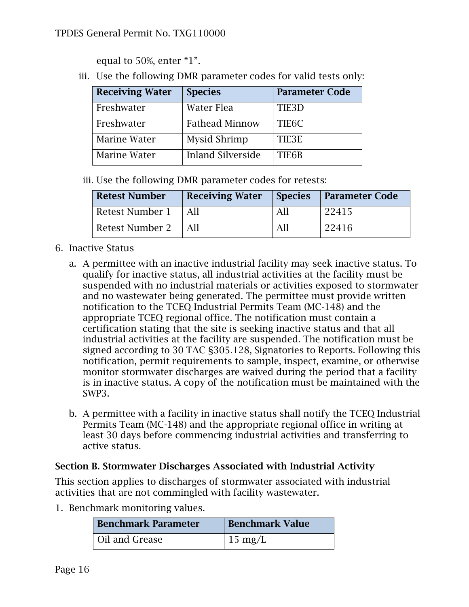equal to 50%, enter "1".

iii. Use the following DMR parameter codes for valid tests only:

| <b>Receiving Water</b> | <b>Species</b>           | <b>Parameter Code</b> |
|------------------------|--------------------------|-----------------------|
| Freshwater             | Water Flea               | TIE <sub>3</sub> D    |
| Freshwater             | <b>Fathead Minnow</b>    | TIE <sub>6</sub> C    |
| Marine Water           | Mysid Shrimp             | TIE3E                 |
| Marine Water           | <b>Inland Silverside</b> | TIE6B                 |

iii. Use the following DMR parameter codes for retests:

| <b>Retest Number</b> | <b>Receiving Water</b> |    | <b>Species</b>   Parameter Code |
|----------------------|------------------------|----|---------------------------------|
| Retest Number 1      | All                    |    | 22415                           |
| Retest Number 2      |                        | ΑI | 22416                           |

- <span id="page-15-0"></span>6. Inactive Status
	- a. A permittee with an inactive industrial facility may seek inactive status. To qualify for inactive status, all industrial activities at the facility must be suspended with no industrial materials or activities exposed to stormwater and no wastewater being generated. The permittee must provide written notification to the TCEQ Industrial Permits Team (MC-148) and the appropriate TCEQ regional office. The notification must contain a certification stating that the site is seeking inactive status and that all industrial activities at the facility are suspended. The notification must be signed according to 30 TAC §305.128, Signatories to Reports. Following this notification, permit requirements to sample, inspect, examine, or otherwise monitor stormwater discharges are waived during the period that a facility is in inactive status. A copy of the notification must be maintained with the SWP3.
	- b. A permittee with a facility in inactive status shall notify the TCEQ Industrial Permits Team (MC-148) and the appropriate regional office in writing at least 30 days before commencing industrial activities and transferring to active status.

#### **Section B. Stormwater Discharges Associated with Industrial Activity**

This section applies to discharges of stormwater associated with industrial activities that are not commingled with facility wastewater.

1. Benchmark monitoring values.

| <b>Benchmark Parameter</b> | <b>Benchmark Value</b> |
|----------------------------|------------------------|
| Oil and Grease             | $15 \text{ mg/L}$      |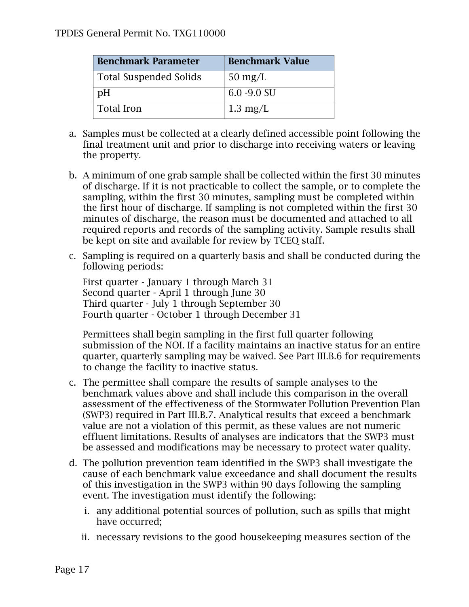| <b>Benchmark Parameter</b>    | <b>Benchmark Value</b> |  |  |
|-------------------------------|------------------------|--|--|
| <b>Total Suspended Solids</b> | $50 \text{ mg/L}$      |  |  |
| pH                            | $6.0 - 9.0$ SU         |  |  |
| <b>Total Iron</b>             | $1.3 \text{ mg/L}$     |  |  |

- a. Samples must be collected at a clearly defined accessible point following the final treatment unit and prior to discharge into receiving waters or leaving the property.
- b. A minimum of one grab sample shall be collected within the first 30 minutes of discharge. If it is not practicable to collect the sample, or to complete the sampling, within the first 30 minutes, sampling must be completed within the first hour of discharge. If sampling is not completed within the first 30 minutes of discharge, the reason must be documented and attached to all required reports and records of the sampling activity. Sample results shall be kept on site and available for review by TCEQ staff.
- c. Sampling is required on a quarterly basis and shall be conducted during the following periods:

First quarter - January 1 through March 31 Second quarter - April 1 through June 30 Third quarter - July 1 through September 30 Fourth quarter - October 1 through December 31

Permittees shall begin sampling in the first full quarter following submission of the NOI. If a facility maintains an inactive status for an entire quarter, quarterly sampling may be waived. See Part III.B.6 for requirements to change the facility to inactive status.

- c. The permittee shall compare the results of sample analyses to the benchmark values above and shall include this comparison in the overall assessment of the effectiveness of the Stormwater Pollution Prevention Plan (SWP3) required in Part III.B.7. Analytical results that exceed a benchmark value are not a violation of this permit, as these values are not numeric effluent limitations. Results of analyses are indicators that the SWP3 must be assessed and modifications may be necessary to protect water quality.
- d. The pollution prevention team identified in the SWP3 shall investigate the cause of each benchmark value exceedance and shall document the results of this investigation in the SWP3 within 90 days following the sampling event. The investigation must identify the following:
	- i. any additional potential sources of pollution, such as spills that might have occurred;
	- ii. necessary revisions to the good housekeeping measures section of the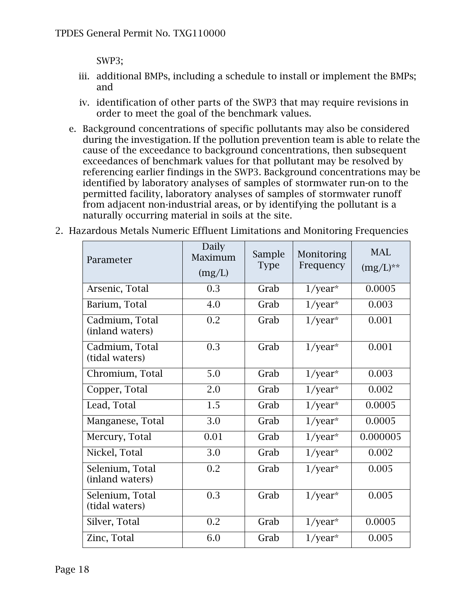SWP3;

- iii. additional BMPs, including a schedule to install or implement the BMPs; and
- iv. identification of other parts of the SWP3 that may require revisions in order to meet the goal of the benchmark values.
- e. Background concentrations of specific pollutants may also be considered during the investigation. If the pollution prevention team is able to relate the cause of the exceedance to background concentrations, then subsequent exceedances of benchmark values for that pollutant may be resolved by referencing earlier findings in the SWP3. Background concentrations may be identified by laboratory analyses of samples of stormwater run-on to the permitted facility, laboratory analyses of samples of stormwater runoff from adjacent non-industrial areas, or by identifying the pollutant is a naturally occurring material in soils at the site.
- 2. Hazardous Metals Numeric Effluent Limitations and Monitoring Frequencies

| Parameter                          | Daily<br>Maximum<br>(mg/L) | Sample<br><b>Type</b> | Monitoring<br>Frequency | <b>MAL</b><br>$(mg/L)$ ** |
|------------------------------------|----------------------------|-----------------------|-------------------------|---------------------------|
| Arsenic, Total                     | 0.3                        | Grab                  | $1/year*$               | 0.0005                    |
| Barium, Total                      | 4.0                        | Grab                  | $1$ /year*              | 0.003                     |
| Cadmium, Total<br>(inland waters)  | 0.2                        | Grab                  | $1$ /year*              | 0.001                     |
| Cadmium, Total<br>(tidal waters)   | 0.3                        | Grab                  | $1/year*$               | 0.001                     |
| Chromium, Total                    | 5.0                        | Grab                  | $1$ /year*              | 0.003                     |
| Copper, Total                      | 2.0                        | Grab                  | $1$ /year*              | 0.002                     |
| Lead, Total                        | 1.5                        | Grab                  | $1$ /year*              | 0.0005                    |
| Manganese, Total                   | 3.0                        | Grab                  | $1$ /year*              | 0.0005                    |
| Mercury, Total                     | 0.01                       | Grab                  | $1$ /year*              | 0.000005                  |
| Nickel, Total                      | 3.0                        | Grab                  | $1$ /year*              | 0.002                     |
| Selenium, Total<br>(inland waters) | 0.2                        | Grab                  | $1$ /year*              | 0.005                     |
| Selenium, Total<br>(tidal waters)  | 0.3                        | Grab                  | $1/year*$               | 0.005                     |
| Silver, Total                      | 0.2                        | Grab                  | $1$ /year*              | 0.0005                    |
| Zinc, Total                        | 6.0                        | Grab                  | $1$ /year*              | 0.005                     |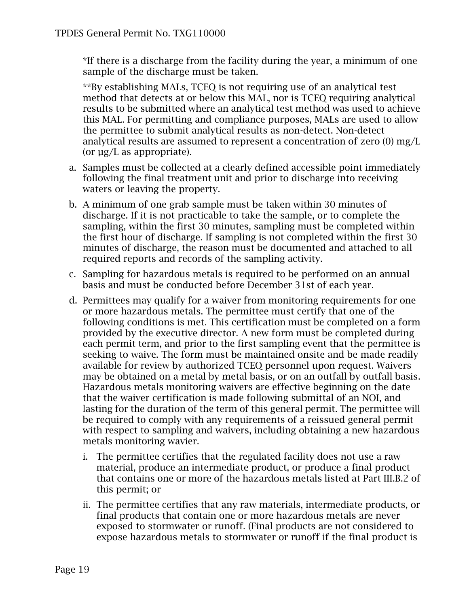\*If there is a discharge from the facility during the year, a minimum of one sample of the discharge must be taken.

\*\*By establishing MALs, TCEQ is not requiring use of an analytical test method that detects at or below this MAL, nor is TCEQ requiring analytical results to be submitted where an analytical test method was used to achieve this MAL. For permitting and compliance purposes, MALs are used to allow the permittee to submit analytical results as non-detect. Non-detect analytical results are assumed to represent a concentration of zero (0) mg/L (or µg/L as appropriate).

- a. Samples must be collected at a clearly defined accessible point immediately following the final treatment unit and prior to discharge into receiving waters or leaving the property.
- b. A minimum of one grab sample must be taken within 30 minutes of discharge. If it is not practicable to take the sample, or to complete the sampling, within the first 30 minutes, sampling must be completed within the first hour of discharge. If sampling is not completed within the first 30 minutes of discharge, the reason must be documented and attached to all required reports and records of the sampling activity.
- c. Sampling for hazardous metals is required to be performed on an annual basis and must be conducted before December 31st of each year.
- d. Permittees may qualify for a waiver from monitoring requirements for one or more hazardous metals. The permittee must certify that one of the following conditions is met. This certification must be completed on a form provided by the executive director. A new form must be completed during each permit term, and prior to the first sampling event that the permittee is seeking to waive. The form must be maintained onsite and be made readily available for review by authorized TCEQ personnel upon request. Waivers may be obtained on a metal by metal basis, or on an outfall by outfall basis. Hazardous metals monitoring waivers are effective beginning on the date that the waiver certification is made following submittal of an NOI, and lasting for the duration of the term of this general permit. The permittee will be required to comply with any requirements of a reissued general permit with respect to sampling and waivers, including obtaining a new hazardous metals monitoring wavier.
	- i. The permittee certifies that the regulated facility does not use a raw material, produce an intermediate product, or produce a final product that contains one or more of the hazardous metals listed at Part III.B.2 of this permit; or
	- ii. The permittee certifies that any raw materials, intermediate products, or final products that contain one or more hazardous metals are never exposed to stormwater or runoff. (Final products are not considered to expose hazardous metals to stormwater or runoff if the final product is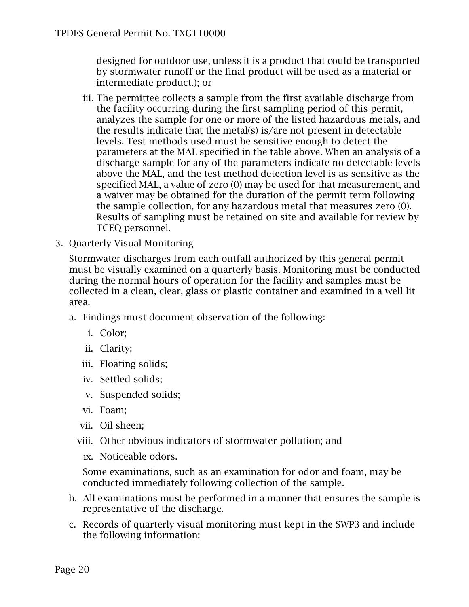designed for outdoor use, unless it is a product that could be transported by stormwater runoff or the final product will be used as a material or intermediate product.); or

- iii. The permittee collects a sample from the first available discharge from the facility occurring during the first sampling period of this permit, analyzes the sample for one or more of the listed hazardous metals, and the results indicate that the metal(s) is/are not present in detectable levels. Test methods used must be sensitive enough to detect the parameters at the MAL specified in the table above. When an analysis of a discharge sample for any of the parameters indicate no detectable levels above the MAL, and the test method detection level is as sensitive as the specified MAL, a value of zero (0) may be used for that measurement, and a waiver may be obtained for the duration of the permit term following the sample collection, for any hazardous metal that measures zero (0). Results of sampling must be retained on site and available for review by TCEQ personnel.
- 3. Quarterly Visual Monitoring

Stormwater discharges from each outfall authorized by this general permit must be visually examined on a quarterly basis. Monitoring must be conducted during the normal hours of operation for the facility and samples must be collected in a clean, clear, glass or plastic container and examined in a well lit area.

- a. Findings must document observation of the following:
	- i. Color;
	- ii. Clarity;
	- iii. Floating solids;
	- iv. Settled solids;
	- v. Suspended solids;
	- vi. Foam;
	- vii. Oil sheen;
	- viii. Other obvious indicators of stormwater pollution; and
		- ix. Noticeable odors.

Some examinations, such as an examination for odor and foam, may be conducted immediately following collection of the sample.

- b. All examinations must be performed in a manner that ensures the sample is representative of the discharge.
- c. Records of quarterly visual monitoring must kept in the SWP3 and include the following information: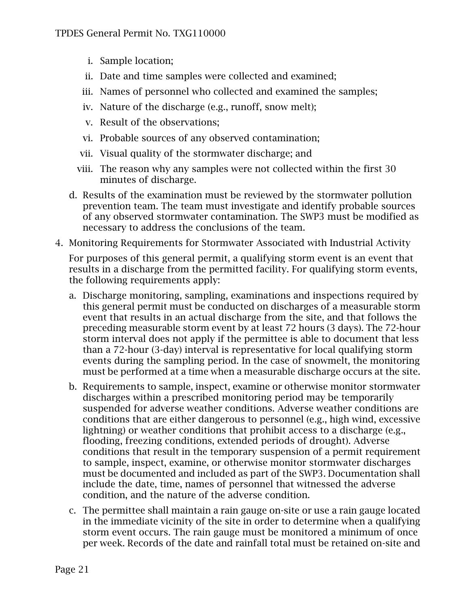- i. Sample location;
- ii. Date and time samples were collected and examined;
- iii. Names of personnel who collected and examined the samples;
- iv. Nature of the discharge (e.g., runoff, snow melt);
- v. Result of the observations;
- vi. Probable sources of any observed contamination;
- vii. Visual quality of the stormwater discharge; and
- viii. The reason why any samples were not collected within the first 30 minutes of discharge.
- d. Results of the examination must be reviewed by the stormwater pollution prevention team. The team must investigate and identify probable sources of any observed stormwater contamination. The SWP3 must be modified as necessary to address the conclusions of the team.
- 4. Monitoring Requirements for Stormwater Associated with Industrial Activity

For purposes of this general permit, a qualifying storm event is an event that results in a discharge from the permitted facility. For qualifying storm events, the following requirements apply:

- a. Discharge monitoring, sampling, examinations and inspections required by this general permit must be conducted on discharges of a measurable storm event that results in an actual discharge from the site, and that follows the preceding measurable storm event by at least 72 hours (3 days). The 72-hour storm interval does not apply if the permittee is able to document that less than a 72-hour (3-day) interval is representative for local qualifying storm events during the sampling period. In the case of snowmelt, the monitoring must be performed at a time when a measurable discharge occurs at the site.
- b. Requirements to sample, inspect, examine or otherwise monitor stormwater discharges within a prescribed monitoring period may be temporarily suspended for adverse weather conditions. Adverse weather conditions are conditions that are either dangerous to personnel (e.g., high wind, excessive lightning) or weather conditions that prohibit access to a discharge (e.g., flooding, freezing conditions, extended periods of drought). Adverse conditions that result in the temporary suspension of a permit requirement to sample, inspect, examine, or otherwise monitor stormwater discharges must be documented and included as part of the SWP3. Documentation shall include the date, time, names of personnel that witnessed the adverse condition, and the nature of the adverse condition.
- c. The permittee shall maintain a rain gauge on-site or use a rain gauge located in the immediate vicinity of the site in order to determine when a qualifying storm event occurs. The rain gauge must be monitored a minimum of once per week. Records of the date and rainfall total must be retained on-site and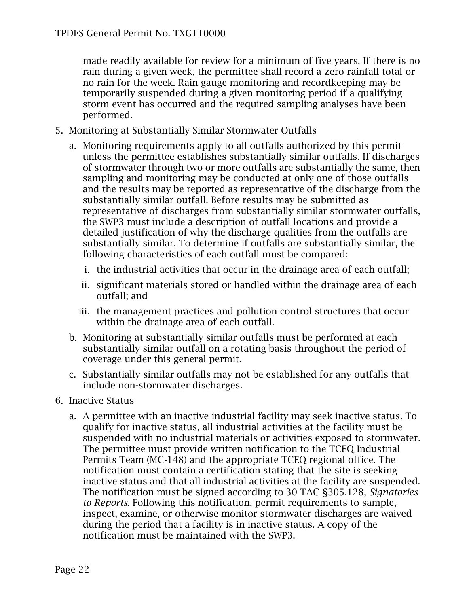made readily available for review for a minimum of five years. If there is no rain during a given week, the permittee shall record a zero rainfall total or no rain for the week. Rain gauge monitoring and recordkeeping may be temporarily suspended during a given monitoring period if a qualifying storm event has occurred and the required sampling analyses have been performed.

- 5. Monitoring at Substantially Similar Stormwater Outfalls
	- a. Monitoring requirements apply to all outfalls authorized by this permit unless the permittee establishes substantially similar outfalls. If discharges of stormwater through two or more outfalls are substantially the same, then sampling and monitoring may be conducted at only one of those outfalls and the results may be reported as representative of the discharge from the substantially similar outfall. Before results may be submitted as representative of discharges from substantially similar stormwater outfalls, the SWP3 must include a description of outfall locations and provide a detailed justification of why the discharge qualities from the outfalls are substantially similar. To determine if outfalls are substantially similar, the following characteristics of each outfall must be compared:
		- i. the industrial activities that occur in the drainage area of each outfall;
		- ii. significant materials stored or handled within the drainage area of each outfall; and
		- iii. the management practices and pollution control structures that occur within the drainage area of each outfall.
	- b. Monitoring at substantially similar outfalls must be performed at each substantially similar outfall on a rotating basis throughout the period of coverage under this general permit.
	- c. Substantially similar outfalls may not be established for any outfalls that include non-stormwater discharges.
- 6. Inactive Status
	- a. A permittee with an inactive industrial facility may seek inactive status. To qualify for inactive status, all industrial activities at the facility must be suspended with no industrial materials or activities exposed to stormwater. The permittee must provide written notification to the TCEQ Industrial Permits Team (MC-148) and the appropriate TCEQ regional office. The notification must contain a certification stating that the site is seeking inactive status and that all industrial activities at the facility are suspended. The notification must be signed according to 30 TAC §305.128, *Signatories to Reports*. Following this notification, permit requirements to sample, inspect, examine, or otherwise monitor stormwater discharges are waived during the period that a facility is in inactive status. A copy of the notification must be maintained with the SWP3.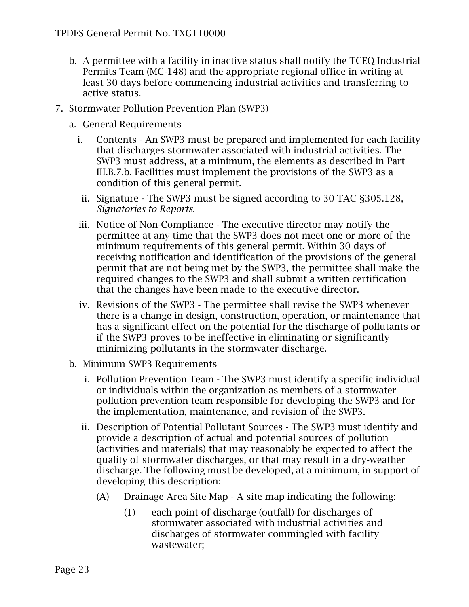- b. A permittee with a facility in inactive status shall notify the TCEQ Industrial Permits Team (MC-148) and the appropriate regional office in writing at least 30 days before commencing industrial activities and transferring to active status.
- 7. Stormwater Pollution Prevention Plan (SWP3)
	- a. General Requirements
		- i. Contents An SWP3 must be prepared and implemented for each facility that discharges stormwater associated with industrial activities. The SWP3 must address, at a minimum, the elements as described in Part III.B.7.b. Facilities must implement the provisions of the SWP3 as a condition of this general permit.
		- ii. Signature The SWP3 must be signed according to 30 TAC §305.128, *Signatories to Reports*.
		- iii. Notice of Non-Compliance The executive director may notify the permittee at any time that the SWP3 does not meet one or more of the minimum requirements of this general permit. Within 30 days of receiving notification and identification of the provisions of the general permit that are not being met by the SWP3, the permittee shall make the required changes to the SWP3 and shall submit a written certification that the changes have been made to the executive director.
		- iv. Revisions of the SWP3 The permittee shall revise the SWP3 whenever there is a change in design, construction, operation, or maintenance that has a significant effect on the potential for the discharge of pollutants or if the SWP3 proves to be ineffective in eliminating or significantly minimizing pollutants in the stormwater discharge.
	- b. Minimum SWP3 Requirements
		- i. Pollution Prevention Team The SWP3 must identify a specific individual or individuals within the organization as members of a stormwater pollution prevention team responsible for developing the SWP3 and for the implementation, maintenance, and revision of the SWP3.
		- ii. Description of Potential Pollutant Sources The SWP3 must identify and provide a description of actual and potential sources of pollution (activities and materials) that may reasonably be expected to affect the quality of stormwater discharges, or that may result in a dry-weather discharge. The following must be developed, at a minimum, in support of developing this description:
			- (A) Drainage Area Site Map A site map indicating the following:
				- (1) each point of discharge (outfall) for discharges of stormwater associated with industrial activities and discharges of stormwater commingled with facility wastewater;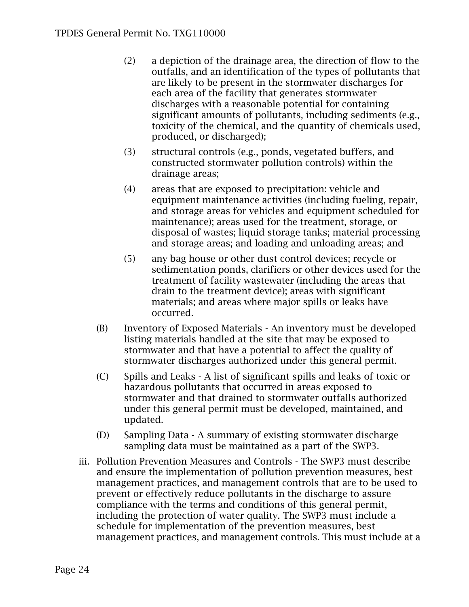- (2) a depiction of the drainage area, the direction of flow to the outfalls, and an identification of the types of pollutants that are likely to be present in the stormwater discharges for each area of the facility that generates stormwater discharges with a reasonable potential for containing significant amounts of pollutants, including sediments (e.g., toxicity of the chemical, and the quantity of chemicals used, produced, or discharged);
- (3) structural controls (e.g., ponds, vegetated buffers, and constructed stormwater pollution controls) within the drainage areas;
- (4) areas that are exposed to precipitation: vehicle and equipment maintenance activities (including fueling, repair, and storage areas for vehicles and equipment scheduled for maintenance); areas used for the treatment, storage, or disposal of wastes; liquid storage tanks; material processing and storage areas; and loading and unloading areas; and
- (5) any bag house or other dust control devices; recycle or sedimentation ponds, clarifiers or other devices used for the treatment of facility wastewater (including the areas that drain to the treatment device); areas with significant materials; and areas where major spills or leaks have occurred.
- (B) Inventory of Exposed Materials An inventory must be developed listing materials handled at the site that may be exposed to stormwater and that have a potential to affect the quality of stormwater discharges authorized under this general permit.
- (C) Spills and Leaks A list of significant spills and leaks of toxic or hazardous pollutants that occurred in areas exposed to stormwater and that drained to stormwater outfalls authorized under this general permit must be developed, maintained, and updated.
- (D) Sampling Data A summary of existing stormwater discharge sampling data must be maintained as a part of the SWP3.
- iii. Pollution Prevention Measures and Controls The SWP3 must describe and ensure the implementation of pollution prevention measures, best management practices, and management controls that are to be used to prevent or effectively reduce pollutants in the discharge to assure compliance with the terms and conditions of this general permit, including the protection of water quality. The SWP3 must include a schedule for implementation of the prevention measures, best management practices, and management controls. This must include at a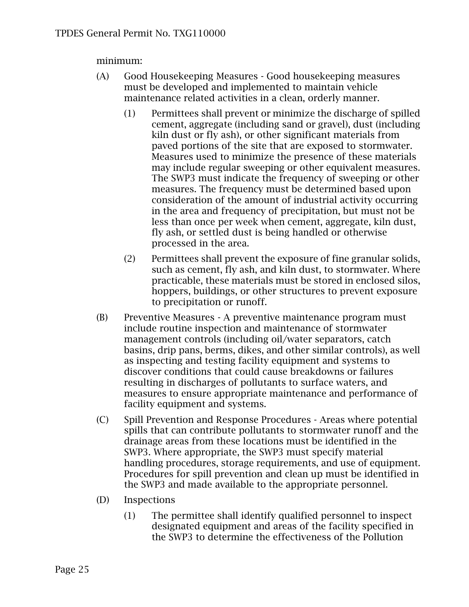minimum:

- (A) Good Housekeeping Measures Good housekeeping measures must be developed and implemented to maintain vehicle maintenance related activities in a clean, orderly manner.
	- (1) Permittees shall prevent or minimize the discharge of spilled cement, aggregate (including sand or gravel), dust (including kiln dust or fly ash), or other significant materials from paved portions of the site that are exposed to stormwater. Measures used to minimize the presence of these materials may include regular sweeping or other equivalent measures. The SWP3 must indicate the frequency of sweeping or other measures. The frequency must be determined based upon consideration of the amount of industrial activity occurring in the area and frequency of precipitation, but must not be less than once per week when cement, aggregate, kiln dust, fly ash, or settled dust is being handled or otherwise processed in the area.
	- (2) Permittees shall prevent the exposure of fine granular solids, such as cement, fly ash, and kiln dust, to stormwater. Where practicable, these materials must be stored in enclosed silos, hoppers, buildings, or other structures to prevent exposure to precipitation or runoff.
- (B) Preventive Measures A preventive maintenance program must include routine inspection and maintenance of stormwater management controls (including oil/water separators, catch basins, drip pans, berms, dikes, and other similar controls), as well as inspecting and testing facility equipment and systems to discover conditions that could cause breakdowns or failures resulting in discharges of pollutants to surface waters, and measures to ensure appropriate maintenance and performance of facility equipment and systems.
- (C) Spill Prevention and Response Procedures Areas where potential spills that can contribute pollutants to stormwater runoff and the drainage areas from these locations must be identified in the SWP3. Where appropriate, the SWP3 must specify material handling procedures, storage requirements, and use of equipment. Procedures for spill prevention and clean up must be identified in the SWP3 and made available to the appropriate personnel.
- (D) Inspections
	- (1) The permittee shall identify qualified personnel to inspect designated equipment and areas of the facility specified in the SWP3 to determine the effectiveness of the Pollution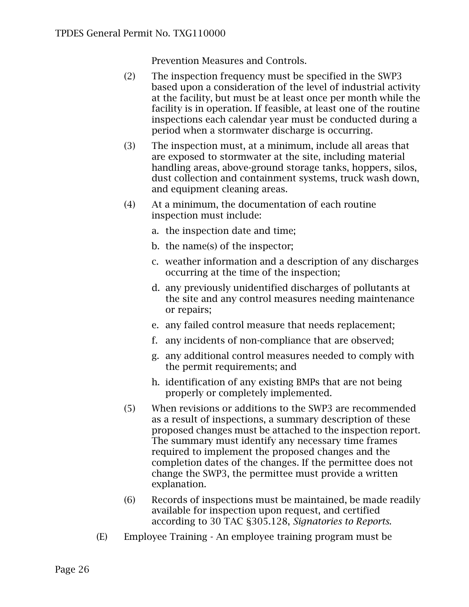Prevention Measures and Controls.

- (2) The inspection frequency must be specified in the SWP3 based upon a consideration of the level of industrial activity at the facility, but must be at least once per month while the facility is in operation. If feasible, at least one of the routine inspections each calendar year must be conducted during a period when a stormwater discharge is occurring.
- (3) The inspection must, at a minimum, include all areas that are exposed to stormwater at the site, including material handling areas, above-ground storage tanks, hoppers, silos, dust collection and containment systems, truck wash down, and equipment cleaning areas.
- (4) At a minimum, the documentation of each routine inspection must include:
	- a. the inspection date and time;
	- b. the name(s) of the inspector;
	- c. weather information and a description of any discharges occurring at the time of the inspection;
	- d. any previously unidentified discharges of pollutants at the site and any control measures needing maintenance or repairs;
	- e. any failed control measure that needs replacement;
	- f. any incidents of non-compliance that are observed;
	- g. any additional control measures needed to comply with the permit requirements; and
	- h. identification of any existing BMPs that are not being properly or completely implemented.
- (5) When revisions or additions to the SWP3 are recommended as a result of inspections, a summary description of these proposed changes must be attached to the inspection report. The summary must identify any necessary time frames required to implement the proposed changes and the completion dates of the changes. If the permittee does not change the SWP3, the permittee must provide a written explanation.
- (6) Records of inspections must be maintained, be made readily available for inspection upon request, and certified according to 30 TAC §305.128, *Signatories to Reports*.
- (E) Employee Training An employee training program must be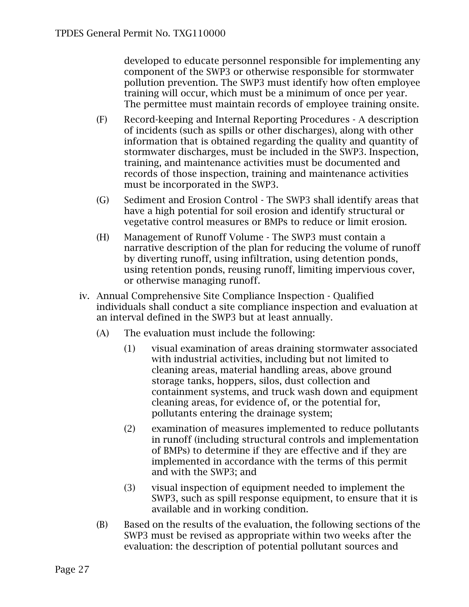developed to educate personnel responsible for implementing any component of the SWP3 or otherwise responsible for stormwater pollution prevention. The SWP3 must identify how often employee training will occur, which must be a minimum of once per year. The permittee must maintain records of employee training onsite.

- (F) Record-keeping and Internal Reporting Procedures A description of incidents (such as spills or other discharges), along with other information that is obtained regarding the quality and quantity of stormwater discharges, must be included in the SWP3. Inspection, training, and maintenance activities must be documented and records of those inspection, training and maintenance activities must be incorporated in the SWP3.
- (G) Sediment and Erosion Control The SWP3 shall identify areas that have a high potential for soil erosion and identify structural or vegetative control measures or BMPs to reduce or limit erosion.
- (H) Management of Runoff Volume The SWP3 must contain a narrative description of the plan for reducing the volume of runoff by diverting runoff, using infiltration, using detention ponds, using retention ponds, reusing runoff, limiting impervious cover, or otherwise managing runoff.
- iv. Annual Comprehensive Site Compliance Inspection Qualified individuals shall conduct a site compliance inspection and evaluation at an interval defined in the SWP3 but at least annually.
	- (A) The evaluation must include the following:
		- (1) visual examination of areas draining stormwater associated with industrial activities, including but not limited to cleaning areas, material handling areas, above ground storage tanks, hoppers, silos, dust collection and containment systems, and truck wash down and equipment cleaning areas, for evidence of, or the potential for, pollutants entering the drainage system;
		- (2) examination of measures implemented to reduce pollutants in runoff (including structural controls and implementation of BMPs) to determine if they are effective and if they are implemented in accordance with the terms of this permit and with the SWP3; and
		- (3) visual inspection of equipment needed to implement the SWP3, such as spill response equipment, to ensure that it is available and in working condition.
	- (B) Based on the results of the evaluation, the following sections of the SWP3 must be revised as appropriate within two weeks after the evaluation: the description of potential pollutant sources and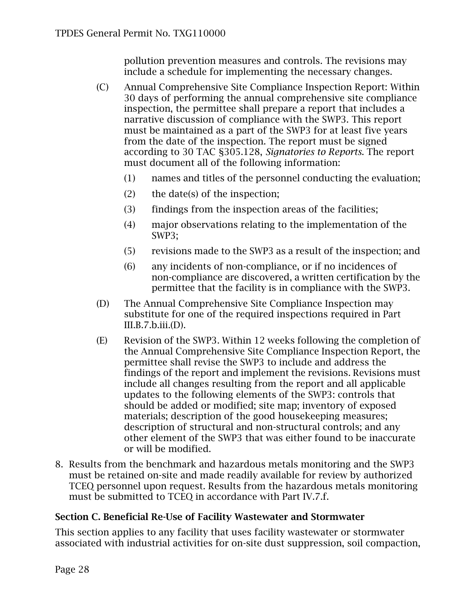pollution prevention measures and controls. The revisions may include a schedule for implementing the necessary changes.

- (C) Annual Comprehensive Site Compliance Inspection Report: Within 30 days of performing the annual comprehensive site compliance inspection, the permittee shall prepare a report that includes a narrative discussion of compliance with the SWP3. This report must be maintained as a part of the SWP3 for at least five years from the date of the inspection. The report must be signed according to 30 TAC §305.128, *Signatories to Reports*. The report must document all of the following information:
	- (1) names and titles of the personnel conducting the evaluation;
	- (2) the date(s) of the inspection;
	- (3) findings from the inspection areas of the facilities;
	- (4) major observations relating to the implementation of the SWP3;
	- (5) revisions made to the SWP3 as a result of the inspection; and
	- (6) any incidents of non-compliance, or if no incidences of non-compliance are discovered, a written certification by the permittee that the facility is in compliance with the SWP3.
- (D) The Annual Comprehensive Site Compliance Inspection may substitute for one of the required inspections required in Part III.B.7.b.iii.(D).
- (E) Revision of the SWP3. Within 12 weeks following the completion of the Annual Comprehensive Site Compliance Inspection Report, the permittee shall revise the SWP3 to include and address the findings of the report and implement the revisions. Revisions must include all changes resulting from the report and all applicable updates to the following elements of the SWP3: controls that should be added or modified; site map; inventory of exposed materials; description of the good housekeeping measures; description of structural and non-structural controls; and any other element of the SWP3 that was either found to be inaccurate or will be modified.
- 8. Results from the benchmark and hazardous metals monitoring and the SWP3 must be retained on-site and made readily available for review by authorized TCEQ personnel upon request. Results from the hazardous metals monitoring must be submitted to TCEQ in accordance with Part IV.7.f.

#### <span id="page-27-0"></span>**Section C. Beneficial Re-Use of Facility Wastewater and Stormwater**

This section applies to any facility that uses facility wastewater or stormwater associated with industrial activities for on-site dust suppression, soil compaction,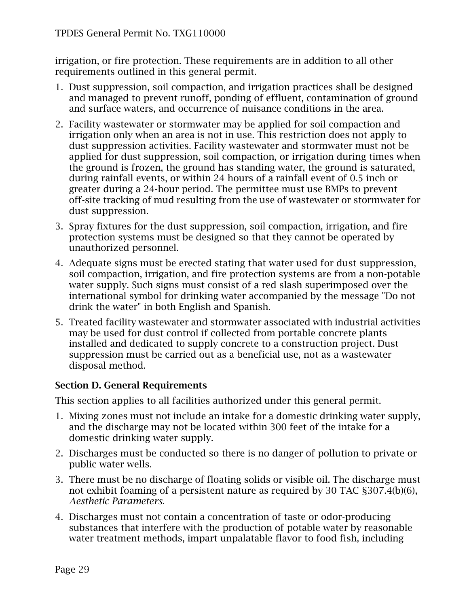irrigation, or fire protection. These requirements are in addition to all other requirements outlined in this general permit.

- 1. Dust suppression, soil compaction, and irrigation practices shall be designed and managed to prevent runoff, ponding of effluent, contamination of ground and surface waters, and occurrence of nuisance conditions in the area.
- 2. Facility wastewater or stormwater may be applied for soil compaction and irrigation only when an area is not in use. This restriction does not apply to dust suppression activities. Facility wastewater and stormwater must not be applied for dust suppression, soil compaction, or irrigation during times when the ground is frozen, the ground has standing water, the ground is saturated, during rainfall events, or within 24 hours of a rainfall event of 0.5 inch or greater during a 24-hour period. The permittee must use BMPs to prevent off-site tracking of mud resulting from the use of wastewater or stormwater for dust suppression.
- 3. Spray fixtures for the dust suppression, soil compaction, irrigation, and fire protection systems must be designed so that they cannot be operated by unauthorized personnel.
- 4. Adequate signs must be erected stating that water used for dust suppression, soil compaction, irrigation, and fire protection systems are from a non-potable water supply. Such signs must consist of a red slash superimposed over the international symbol for drinking water accompanied by the message "Do not drink the water" in both English and Spanish.
- 5. Treated facility wastewater and stormwater associated with industrial activities may be used for dust control if collected from portable concrete plants installed and dedicated to supply concrete to a construction project. Dust suppression must be carried out as a beneficial use, not as a wastewater disposal method.

#### <span id="page-28-0"></span>**Section D. General Requirements**

This section applies to all facilities authorized under this general permit.

- 1. Mixing zones must not include an intake for a domestic drinking water supply, and the discharge may not be located within 300 feet of the intake for a domestic drinking water supply.
- 2. Discharges must be conducted so there is no danger of pollution to private or public water wells.
- 3. There must be no discharge of floating solids or visible oil. The discharge must not exhibit foaming of a persistent nature as required by 30 TAC §307.4(b)(6), *Aesthetic Parameters*.
- 4. Discharges must not contain a concentration of taste or odor-producing substances that interfere with the production of potable water by reasonable water treatment methods, impart unpalatable flavor to food fish, including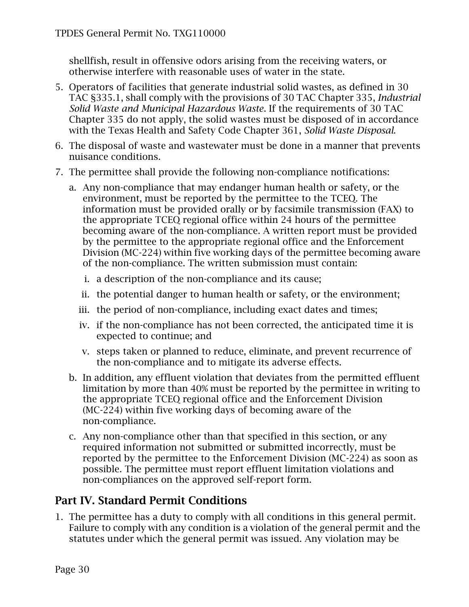shellfish, result in offensive odors arising from the receiving waters, or otherwise interfere with reasonable uses of water in the state.

- 5. Operators of facilities that generate industrial solid wastes, as defined in 30 TAC §335.1, shall comply with the provisions of 30 TAC Chapter 335, *Industrial Solid Waste and Municipal Hazardous Waste*. If the requirements of 30 TAC Chapter 335 do not apply, the solid wastes must be disposed of in accordance with the Texas Health and Safety Code Chapter 361, *Solid Waste Disposal*.
- 6. The disposal of waste and wastewater must be done in a manner that prevents nuisance conditions.
- 7. The permittee shall provide the following non-compliance notifications:
	- a. Any non-compliance that may endanger human health or safety, or the environment, must be reported by the permittee to the TCEQ. The information must be provided orally or by facsimile transmission (FAX) to the appropriate TCEQ regional office within 24 hours of the permittee becoming aware of the non-compliance. A written report must be provided by the permittee to the appropriate regional office and the Enforcement Division (MC-224) within five working days of the permittee becoming aware of the non-compliance. The written submission must contain:
		- i. a description of the non-compliance and its cause;
		- ii. the potential danger to human health or safety, or the environment;
		- iii. the period of non-compliance, including exact dates and times;
		- iv. if the non-compliance has not been corrected, the anticipated time it is expected to continue; and
		- v. steps taken or planned to reduce, eliminate, and prevent recurrence of the non-compliance and to mitigate its adverse effects.
	- b. In addition, any effluent violation that deviates from the permitted effluent limitation by more than 40% must be reported by the permittee in writing to the appropriate TCEQ regional office and the Enforcement Division (MC-224) within five working days of becoming aware of the non-compliance.
	- c. Any non-compliance other than that specified in this section, or any required information not submitted or submitted incorrectly, must be reported by the permittee to the Enforcement Division (MC-224) as soon as possible. The permittee must report effluent limitation violations and non-compliances on the approved self-report form.

# <span id="page-29-0"></span>**Part IV. Standard Permit Conditions**

1. The permittee has a duty to comply with all conditions in this general permit. Failure to comply with any condition is a violation of the general permit and the statutes under which the general permit was issued. Any violation may be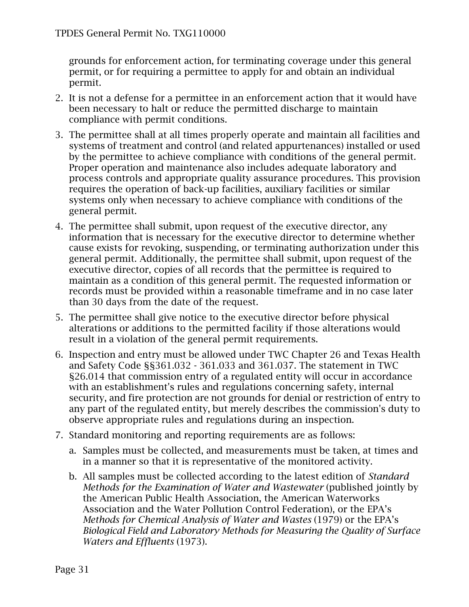grounds for enforcement action, for terminating coverage under this general permit, or for requiring a permittee to apply for and obtain an individual permit.

- 2. It is not a defense for a permittee in an enforcement action that it would have been necessary to halt or reduce the permitted discharge to maintain compliance with permit conditions.
- 3. The permittee shall at all times properly operate and maintain all facilities and systems of treatment and control (and related appurtenances) installed or used by the permittee to achieve compliance with conditions of the general permit. Proper operation and maintenance also includes adequate laboratory and process controls and appropriate quality assurance procedures. This provision requires the operation of back-up facilities, auxiliary facilities or similar systems only when necessary to achieve compliance with conditions of the general permit.
- 4. The permittee shall submit, upon request of the executive director, any information that is necessary for the executive director to determine whether cause exists for revoking, suspending, or terminating authorization under this general permit. Additionally, the permittee shall submit, upon request of the executive director, copies of all records that the permittee is required to maintain as a condition of this general permit. The requested information or records must be provided within a reasonable timeframe and in no case later than 30 days from the date of the request.
- 5. The permittee shall give notice to the executive director before physical alterations or additions to the permitted facility if those alterations would result in a violation of the general permit requirements.
- 6. Inspection and entry must be allowed under TWC Chapter 26 and Texas Health and Safety Code §§361.032 - 361.033 and 361.037. The statement in TWC §26.014 that commission entry of a regulated entity will occur in accordance with an establishment's rules and regulations concerning safety, internal security, and fire protection are not grounds for denial or restriction of entry to any part of the regulated entity, but merely describes the commission's duty to observe appropriate rules and regulations during an inspection.
- 7. Standard monitoring and reporting requirements are as follows:
	- a. Samples must be collected, and measurements must be taken, at times and in a manner so that it is representative of the monitored activity.
	- b. All samples must be collected according to the latest edition of *Standard Methods for the Examination of Water and Wastewater* (published jointly by the American Public Health Association, the American Waterworks Association and the Water Pollution Control Federation), or the EPA's *Methods for Chemical Analysis of Water and Wastes* (1979) or the EPA's *Biological Field and Laboratory Methods for Measuring the Quality of Surface Waters and Effluents* (1973).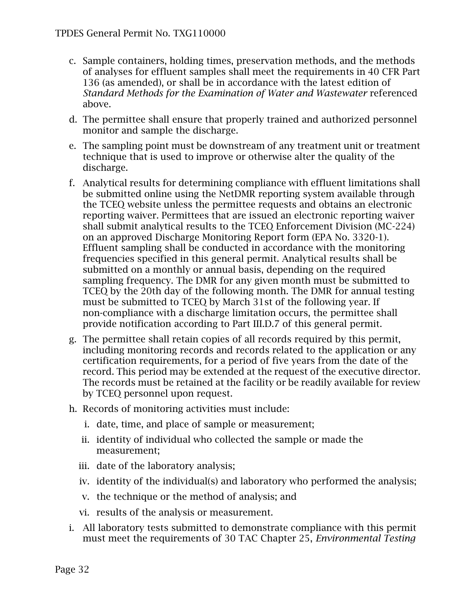- c. Sample containers, holding times, preservation methods, and the methods of analyses for effluent samples shall meet the requirements in 40 CFR Part 136 (as amended), or shall be in accordance with the latest edition of *Standard Methods for the Examination of Water and Wastewater* referenced above.
- d. The permittee shall ensure that properly trained and authorized personnel monitor and sample the discharge.
- e. The sampling point must be downstream of any treatment unit or treatment technique that is used to improve or otherwise alter the quality of the discharge.
- f. Analytical results for determining compliance with effluent limitations shall be submitted online using the NetDMR reporting system available through the TCEQ website unless the permittee requests and obtains an electronic reporting waiver. Permittees that are issued an electronic reporting waiver shall submit analytical results to the TCEQ Enforcement Division (MC-224) on an approved Discharge Monitoring Report form (EPA No. 3320-1). Effluent sampling shall be conducted in accordance with the monitoring frequencies specified in this general permit. Analytical results shall be submitted on a monthly or annual basis, depending on the required sampling frequency. The DMR for any given month must be submitted to TCEQ by the 20th day of the following month. The DMR for annual testing must be submitted to TCEQ by March 31st of the following year. If non-compliance with a discharge limitation occurs, the permittee shall provide notification according to Part III.D.7 of this general permit.
- g. The permittee shall retain copies of all records required by this permit, including monitoring records and records related to the application or any certification requirements, for a period of five years from the date of the record. This period may be extended at the request of the executive director. The records must be retained at the facility or be readily available for review by TCEQ personnel upon request.
- h. Records of monitoring activities must include:
	- i. date, time, and place of sample or measurement;
	- ii. identity of individual who collected the sample or made the measurement;
	- iii. date of the laboratory analysis;
	- iv. identity of the individual(s) and laboratory who performed the analysis;
	- v. the technique or the method of analysis; and
	- vi. results of the analysis or measurement.
- i. All laboratory tests submitted to demonstrate compliance with this permit must meet the requirements of 30 TAC Chapter 25, *Environmental Testing*